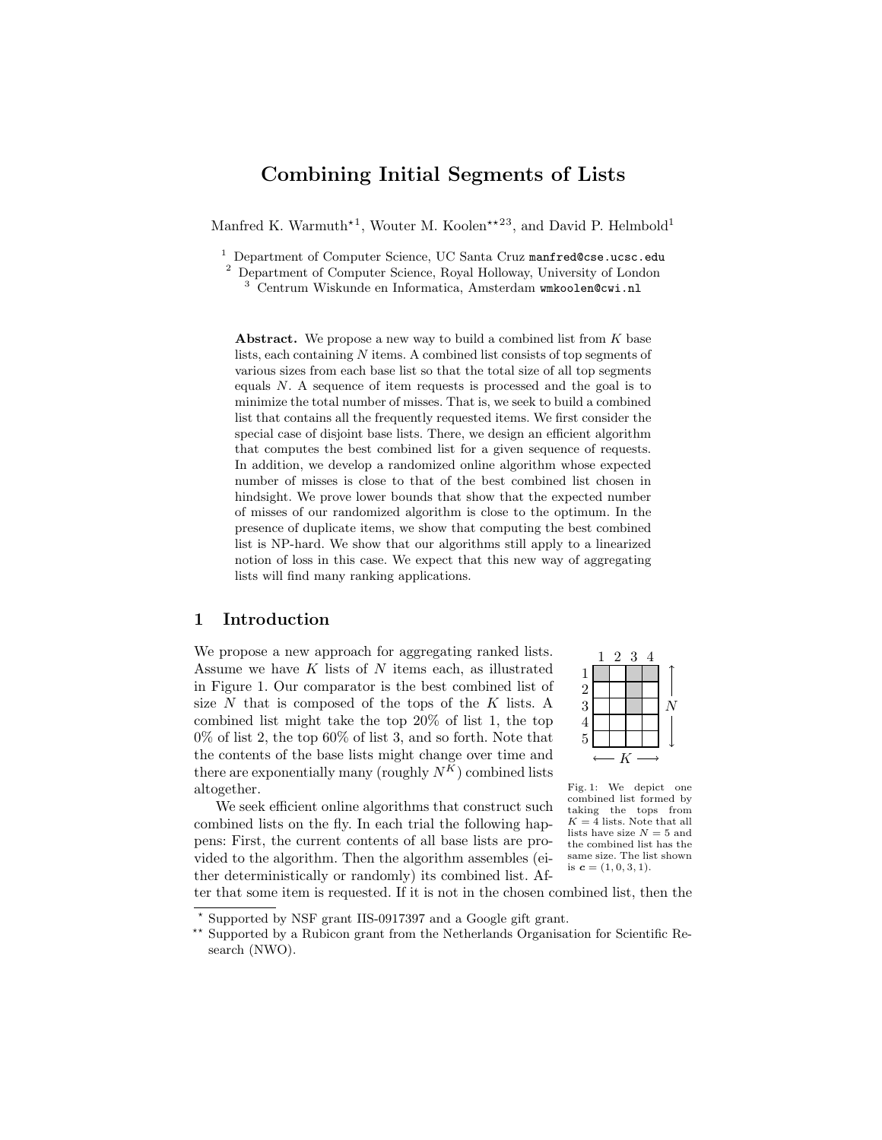# Combining Initial Segments of Lists

Manfred K. Warmuth<sup>\*1</sup>, Wouter M. Koolen<sup>\*\*23</sup>, and David P. Helmbold<sup>1</sup>

<sup>1</sup> Department of Computer Science, UC Santa Cruz manfred@cse.ucsc.edu

<sup>2</sup> Department of Computer Science, Royal Holloway, University of London

<sup>3</sup> Centrum Wiskunde en Informatica, Amsterdam wmkoolen@cwi.nl

Abstract. We propose a new way to build a combined list from  $K$  base lists, each containing N items. A combined list consists of top segments of various sizes from each base list so that the total size of all top segments equals N. A sequence of item requests is processed and the goal is to minimize the total number of misses. That is, we seek to build a combined list that contains all the frequently requested items. We first consider the special case of disjoint base lists. There, we design an efficient algorithm that computes the best combined list for a given sequence of requests. In addition, we develop a randomized online algorithm whose expected number of misses is close to that of the best combined list chosen in hindsight. We prove lower bounds that show that the expected number of misses of our randomized algorithm is close to the optimum. In the presence of duplicate items, we show that computing the best combined list is NP-hard. We show that our algorithms still apply to a linearized notion of loss in this case. We expect that this new way of aggregating lists will find many ranking applications.

# 1 Introduction

We propose a new approach for aggregating ranked lists. Assume we have  $K$  lists of  $N$  items each, as illustrated in Figure 1. Our comparator is the best combined list of size  $N$  that is composed of the tops of the  $K$  lists. A combined list might take the top 20% of list 1, the top 0% of list 2, the top 60% of list 3, and so forth. Note that the contents of the base lists might change over time and there are exponentially many (roughly  $N^K$ ) combined lists altogether.

We seek efficient online algorithms that construct such combined lists on the fly. In each trial the following happens: First, the current contents of all base lists are provided to the algorithm. Then the algorithm assembles (either deterministically or randomly) its combined list. Af-



ter that some item is requested. If it is not in the chosen combined list, then the

Supported by NSF grant IIS-0917397 and a Google gift grant.

<sup>\*\*</sup> Supported by a Rubicon grant from the Netherlands Organisation for Scientific Research (NWO).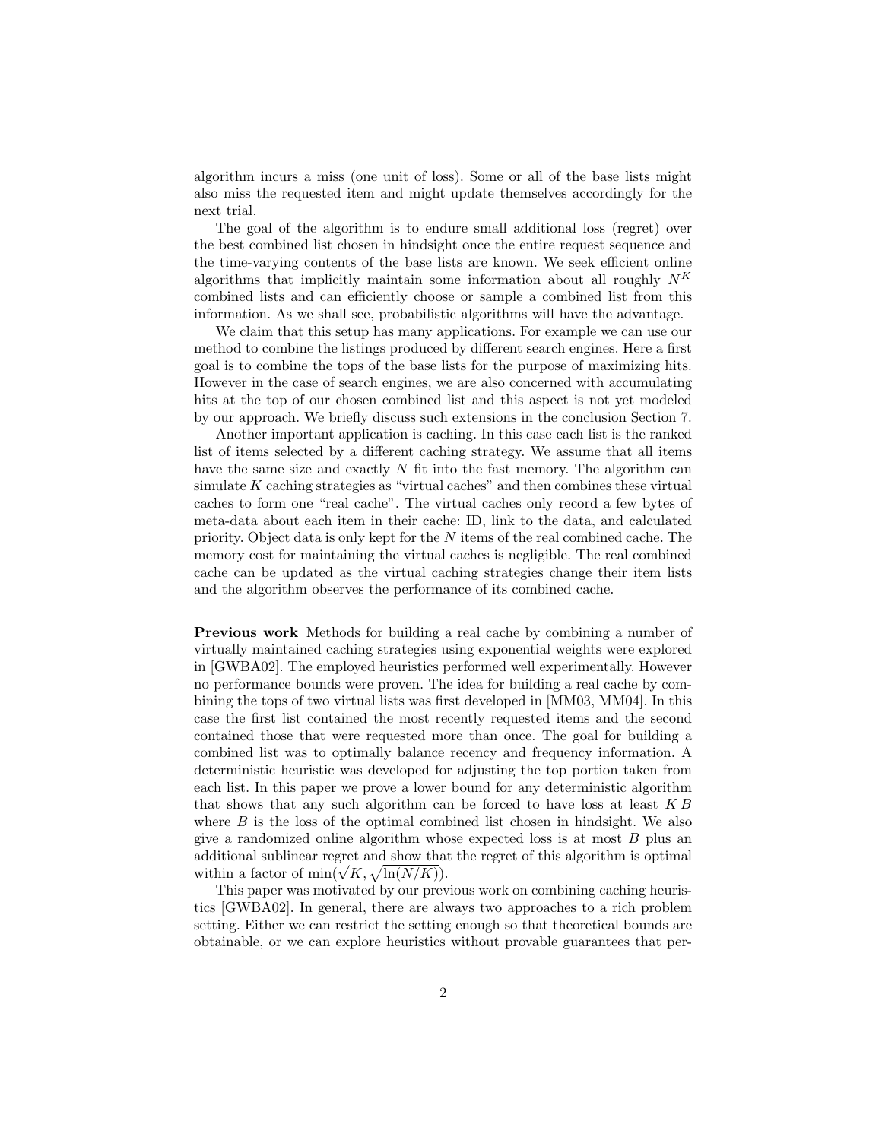algorithm incurs a miss (one unit of loss). Some or all of the base lists might also miss the requested item and might update themselves accordingly for the next trial.

The goal of the algorithm is to endure small additional loss (regret) over the best combined list chosen in hindsight once the entire request sequence and the time-varying contents of the base lists are known. We seek efficient online algorithms that implicitly maintain some information about all roughly  $N^K$ combined lists and can efficiently choose or sample a combined list from this information. As we shall see, probabilistic algorithms will have the advantage.

We claim that this setup has many applications. For example we can use our method to combine the listings produced by different search engines. Here a first goal is to combine the tops of the base lists for the purpose of maximizing hits. However in the case of search engines, we are also concerned with accumulating hits at the top of our chosen combined list and this aspect is not yet modeled by our approach. We briefly discuss such extensions in the conclusion Section 7.

Another important application is caching. In this case each list is the ranked list of items selected by a different caching strategy. We assume that all items have the same size and exactly  $N$  fit into the fast memory. The algorithm can simulate K caching strategies as "virtual caches" and then combines these virtual caches to form one "real cache". The virtual caches only record a few bytes of meta-data about each item in their cache: ID, link to the data, and calculated priority. Object data is only kept for the  $N$  items of the real combined cache. The memory cost for maintaining the virtual caches is negligible. The real combined cache can be updated as the virtual caching strategies change their item lists and the algorithm observes the performance of its combined cache.

Previous work Methods for building a real cache by combining a number of virtually maintained caching strategies using exponential weights were explored in [GWBA02]. The employed heuristics performed well experimentally. However no performance bounds were proven. The idea for building a real cache by combining the tops of two virtual lists was first developed in [MM03, MM04]. In this case the first list contained the most recently requested items and the second contained those that were requested more than once. The goal for building a combined list was to optimally balance recency and frequency information. A deterministic heuristic was developed for adjusting the top portion taken from each list. In this paper we prove a lower bound for any deterministic algorithm that shows that any such algorithm can be forced to have loss at least K B where  $B$  is the loss of the optimal combined list chosen in hindsight. We also give a randomized online algorithm whose expected loss is at most  $B$  plus an additional sublinear regret and show that the regret of this algorithm is optimal additional sublinear regret and show that<br>within a factor of  $\min(\sqrt{K}, \sqrt{\ln(N/K)})$ .

This paper was motivated by our previous work on combining caching heuristics [GWBA02]. In general, there are always two approaches to a rich problem setting. Either we can restrict the setting enough so that theoretical bounds are obtainable, or we can explore heuristics without provable guarantees that per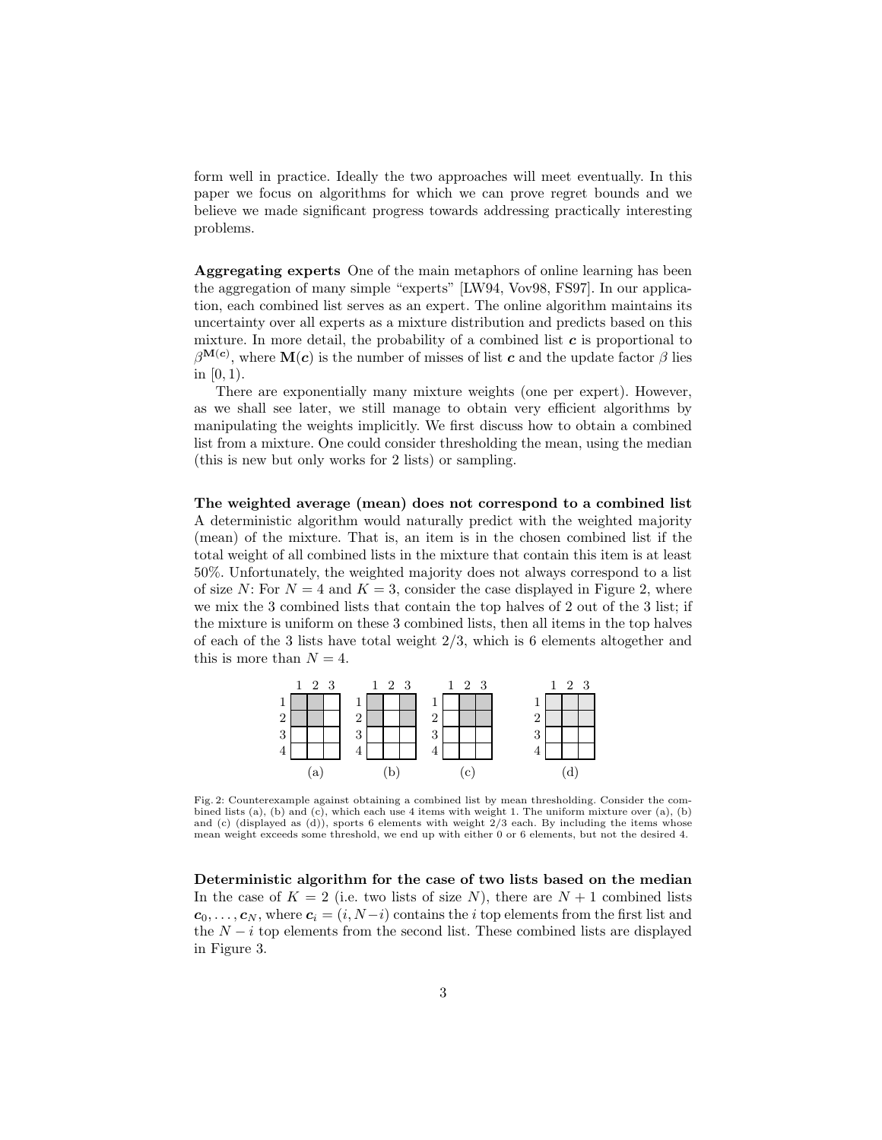form well in practice. Ideally the two approaches will meet eventually. In this paper we focus on algorithms for which we can prove regret bounds and we believe we made significant progress towards addressing practically interesting problems.

Aggregating experts One of the main metaphors of online learning has been the aggregation of many simple "experts" [LW94, Vov98, FS97]. In our application, each combined list serves as an expert. The online algorithm maintains its uncertainty over all experts as a mixture distribution and predicts based on this mixture. In more detail, the probability of a combined list  $c$  is proportional to  $\beta^{\mathbf{M}(\mathbf{c})}$ , where  $\mathbf{M}(\mathbf{c})$  is the number of misses of list  $\mathbf{c}$  and the update factor  $\beta$  lies in [0, 1).

There are exponentially many mixture weights (one per expert). However, as we shall see later, we still manage to obtain very efficient algorithms by manipulating the weights implicitly. We first discuss how to obtain a combined list from a mixture. One could consider thresholding the mean, using the median (this is new but only works for 2 lists) or sampling.

The weighted average (mean) does not correspond to a combined list A deterministic algorithm would naturally predict with the weighted majority (mean) of the mixture. That is, an item is in the chosen combined list if the total weight of all combined lists in the mixture that contain this item is at least 50%. Unfortunately, the weighted majority does not always correspond to a list of size N: For  $N = 4$  and  $K = 3$ , consider the case displayed in Figure 2, where we mix the 3 combined lists that contain the top halves of 2 out of the 3 list; if the mixture is uniform on these 3 combined lists, then all items in the top halves of each of the 3 lists have total weight 2/3, which is 6 elements altogether and this is more than  $N = 4$ .



Fig. 2: Counterexample against obtaining a combined list by mean thresholding. Consider the combined lists  $(a)$ ,  $(b)$  and  $(c)$ , which each use 4 items with weight 1. The uniform mixture over  $(a)$ ,  $(b)$ and (c) (displayed as (d)), sports 6 elements with weight 2/3 each. By including the items whose mean weight exceeds some threshold, we end up with either 0 or 6 elements, but not the desired 4.

Deterministic algorithm for the case of two lists based on the median In the case of  $K = 2$  (i.e. two lists of size N), there are  $N + 1$  combined lists  $c_0, \ldots, c_N$ , where  $c_i = (i, N-i)$  contains the i top elements from the first list and the  $N - i$  top elements from the second list. These combined lists are displayed in Figure 3.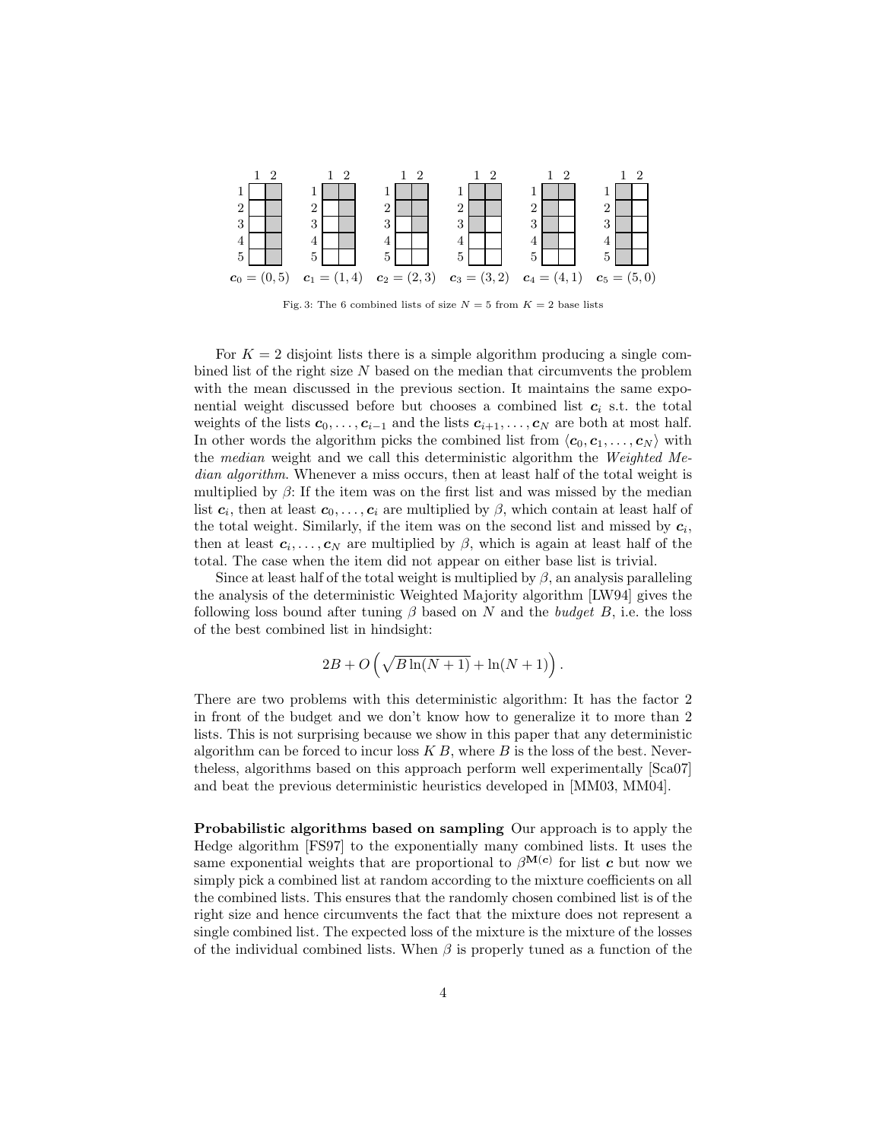

Fig. 3: The 6 combined lists of size  $N = 5$  from  $K = 2$  base lists

For  $K = 2$  disjoint lists there is a simple algorithm producing a single combined list of the right size N based on the median that circumvents the problem with the mean discussed in the previous section. It maintains the same exponential weight discussed before but chooses a combined list  $c_i$  s.t. the total weights of the lists  $c_0, \ldots, c_{i-1}$  and the lists  $c_{i+1}, \ldots, c_N$  are both at most half. In other words the algorithm picks the combined list from  $\langle c_0, c_1, \ldots, c_N \rangle$  with the median weight and we call this deterministic algorithm the Weighted Median algorithm. Whenever a miss occurs, then at least half of the total weight is multiplied by  $\beta$ : If the item was on the first list and was missed by the median list  $c_i$ , then at least  $c_0, \ldots, c_i$  are multiplied by  $\beta$ , which contain at least half of the total weight. Similarly, if the item was on the second list and missed by  $c_i$ , then at least  $c_i, \ldots, c_N$  are multiplied by  $\beta$ , which is again at least half of the total. The case when the item did not appear on either base list is trivial.

Since at least half of the total weight is multiplied by  $\beta$ , an analysis paralleling the analysis of the deterministic Weighted Majority algorithm [LW94] gives the following loss bound after tuning  $\beta$  based on N and the *budget B*, i.e. the loss of the best combined list in hindsight:

$$
2B + O\left(\sqrt{B\ln(N+1)} + \ln(N+1)\right).
$$

There are two problems with this deterministic algorithm: It has the factor 2 in front of the budget and we don't know how to generalize it to more than 2 lists. This is not surprising because we show in this paper that any deterministic algorithm can be forced to incur loss  $K B$ , where  $B$  is the loss of the best. Nevertheless, algorithms based on this approach perform well experimentally [Sca07] and beat the previous deterministic heuristics developed in [MM03, MM04].

Probabilistic algorithms based on sampling Our approach is to apply the Hedge algorithm [FS97] to the exponentially many combined lists. It uses the same exponential weights that are proportional to  $\beta^{M(c)}$  for list c but now we simply pick a combined list at random according to the mixture coefficients on all the combined lists. This ensures that the randomly chosen combined list is of the right size and hence circumvents the fact that the mixture does not represent a single combined list. The expected loss of the mixture is the mixture of the losses of the individual combined lists. When  $\beta$  is properly tuned as a function of the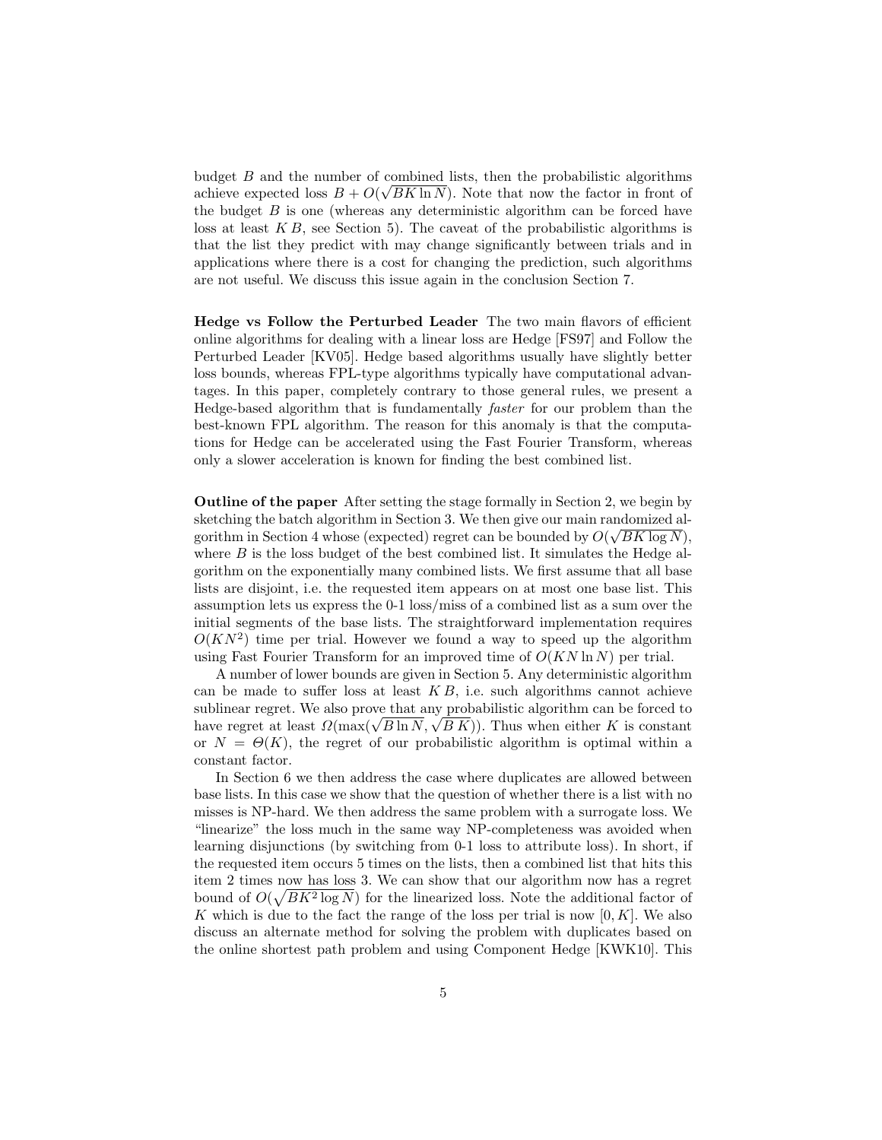budget B and the number of combined lists, then the probabilistic algorithms achieve expected loss  $B + O(\sqrt{BK \ln N})$ . Note that now the factor in front of the budget  $B$  is one (whereas any deterministic algorithm can be forced have loss at least  $KB$ , see Section 5). The caveat of the probabilistic algorithms is that the list they predict with may change significantly between trials and in applications where there is a cost for changing the prediction, such algorithms are not useful. We discuss this issue again in the conclusion Section 7.

Hedge vs Follow the Perturbed Leader The two main flavors of efficient online algorithms for dealing with a linear loss are Hedge [FS97] and Follow the Perturbed Leader [KV05]. Hedge based algorithms usually have slightly better loss bounds, whereas FPL-type algorithms typically have computational advantages. In this paper, completely contrary to those general rules, we present a Hedge-based algorithm that is fundamentally faster for our problem than the best-known FPL algorithm. The reason for this anomaly is that the computations for Hedge can be accelerated using the Fast Fourier Transform, whereas only a slower acceleration is known for finding the best combined list.

Outline of the paper After setting the stage formally in Section 2, we begin by sketching the batch algorithm in Section 3. We then give our main randomized algorithm gorithm in Section 4 whose (expected) regret can be bounded by  $O(\sqrt{BK \log N})$ , where  $B$  is the loss budget of the best combined list. It simulates the Hedge algorithm on the exponentially many combined lists. We first assume that all base lists are disjoint, i.e. the requested item appears on at most one base list. This assumption lets us express the 0-1 loss/miss of a combined list as a sum over the initial segments of the base lists. The straightforward implementation requires  $O(KN^2)$  time per trial. However we found a way to speed up the algorithm using Fast Fourier Transform for an improved time of  $O(KN \ln N)$  per trial.

A number of lower bounds are given in Section 5. Any deterministic algorithm can be made to suffer loss at least  $KB$ , i.e. such algorithms cannot achieve sublinear regret. We also prove that any probabilistic algorithm can be forced to sublinear regret. We also prove that any probabilistic algorithm can be forced to have regret at least  $\Omega(\max(\sqrt{B \ln N}, \sqrt{B K}))$ . Thus when either K is constant or  $N = \Theta(K)$ , the regret of our probabilistic algorithm is optimal within a constant factor.

In Section 6 we then address the case where duplicates are allowed between base lists. In this case we show that the question of whether there is a list with no misses is NP-hard. We then address the same problem with a surrogate loss. We "linearize" the loss much in the same way NP-completeness was avoided when learning disjunctions (by switching from 0-1 loss to attribute loss). In short, if the requested item occurs 5 times on the lists, then a combined list that hits this item 2 times now has loss 3. We can show that our algorithm now has a regret bound of  $O(\sqrt{BK^2 \log N})$  for the linearized loss. Note the additional factor of K which is due to the fact the range of the loss per trial is now  $[0, K]$ . We also discuss an alternate method for solving the problem with duplicates based on the online shortest path problem and using Component Hedge [KWK10]. This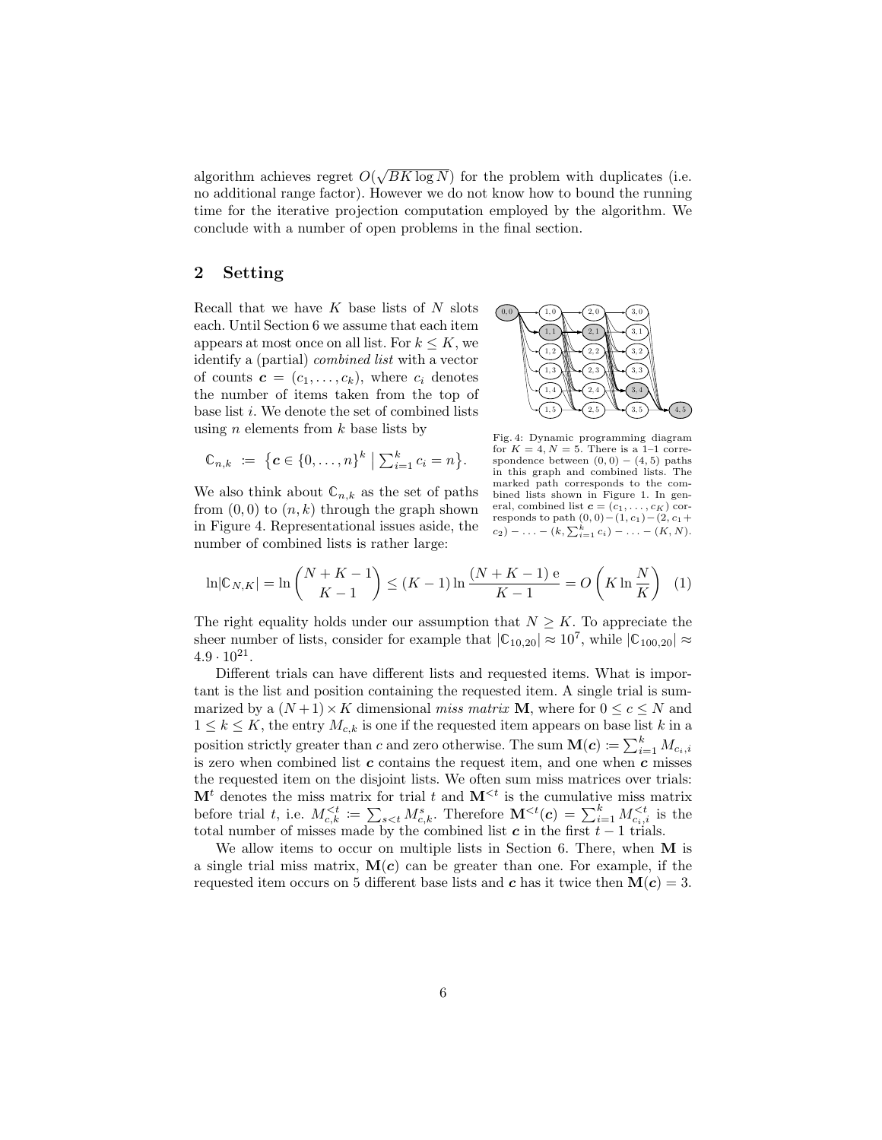algorithm achieves regret  $O(\sqrt{BK \log N})$  for the problem with duplicates (i.e. no additional range factor). However we do not know how to bound the running time for the iterative projection computation employed by the algorithm. We conclude with a number of open problems in the final section.

## 2 Setting

Recall that we have  $K$  base lists of  $N$  slots each. Until Section 6 we assume that each item appears at most once on all list. For  $k \leq K$ , we identify a (partial) combined list with a vector of counts  $\mathbf{c} = (c_1, \ldots, c_k)$ , where  $c_i$  denotes the number of items taken from the top of base list  $i$ . We denote the set of combined lists using *n* elements from  $k$  base lists by



$$
\mathbb{C}_{n,k} := \{ \mathbf{c} \in \{0,\ldots,n\}^k \mid \sum_{i=1}^k c_i = n \}.
$$

We also think about  $\mathbb{C}_{n,k}$  as the set of paths from  $(0,0)$  to  $(n, k)$  through the graph shown in Figure 4. Representational issues aside, the number of combined lists is rather large:

Fig. 4: Dynamic programming diagram for 
$$
K = 4, N = 5
$$
. There is a 1-1 correspondence between  $(0,0) - (4,5)$  paths in this graph and combined lists. The marked path corresponds to the combined lists shown in Figure 1. In general, combined list  $\mathbf{c} = (c_1, \ldots, c_K)$  corresponds to path  $(0,0) - (1, c_1) - (2, c_1 + c_2) - \ldots - (k, \sum_{i=1}^k c_i) - \ldots - (K, N).$ 

$$
\ln |\mathbb{C}_{N,K}| = \ln \binom{N+K-1}{K-1} \le (K-1)\ln \frac{(N+K-1) e}{K-1} = O\left(K \ln \frac{N}{K}\right) \tag{1}
$$

The right equality holds under our assumption that  $N \geq K$ . To appreciate the sheer number of lists, consider for example that  $|\mathbb{C}_{10,20}| \approx 10^7$ , while  $|\mathbb{C}_{100,20}| \approx$  $4.9 \cdot 10^{21}$ .

Different trials can have different lists and requested items. What is important is the list and position containing the requested item. A single trial is summarized by a  $(N+1) \times K$  dimensional miss matrix **M**, where for  $0 \leq c \leq N$  and  $1 \leq k \leq K$ , the entry  $M_{c,k}$  is one if the requested item appears on base list k in a position strictly greater than c and zero otherwise. The sum  $\mathbf{M}(\mathbf{c}) \coloneqq \sum_{i=1}^{k} M_{c_i,i}$ is zero when combined list  $c$  contains the request item, and one when  $c$  misses the requested item on the disjoint lists. We often sum miss matrices over trials:  $M<sup>t</sup>$  denotes the miss matrix for trial t and  $M<sup>{t}</sup>$  is the cumulative miss matrix before trial t, i.e.  $M_{c,k}^{< t} := \sum_{s < t} M_{c,k}^s$ . Therefore  $\mathbf{M}^{< t}(c) = \sum_{i=1}^k M_{c_i,i}^{< t}$  is the total number of misses made by the combined list  $c$  in the first  $t - 1$  trials.

We allow items to occur on multiple lists in Section 6. There, when M is a single trial miss matrix,  $M(c)$  can be greater than one. For example, if the requested item occurs on 5 different base lists and c has it twice then  $M(c) = 3$ .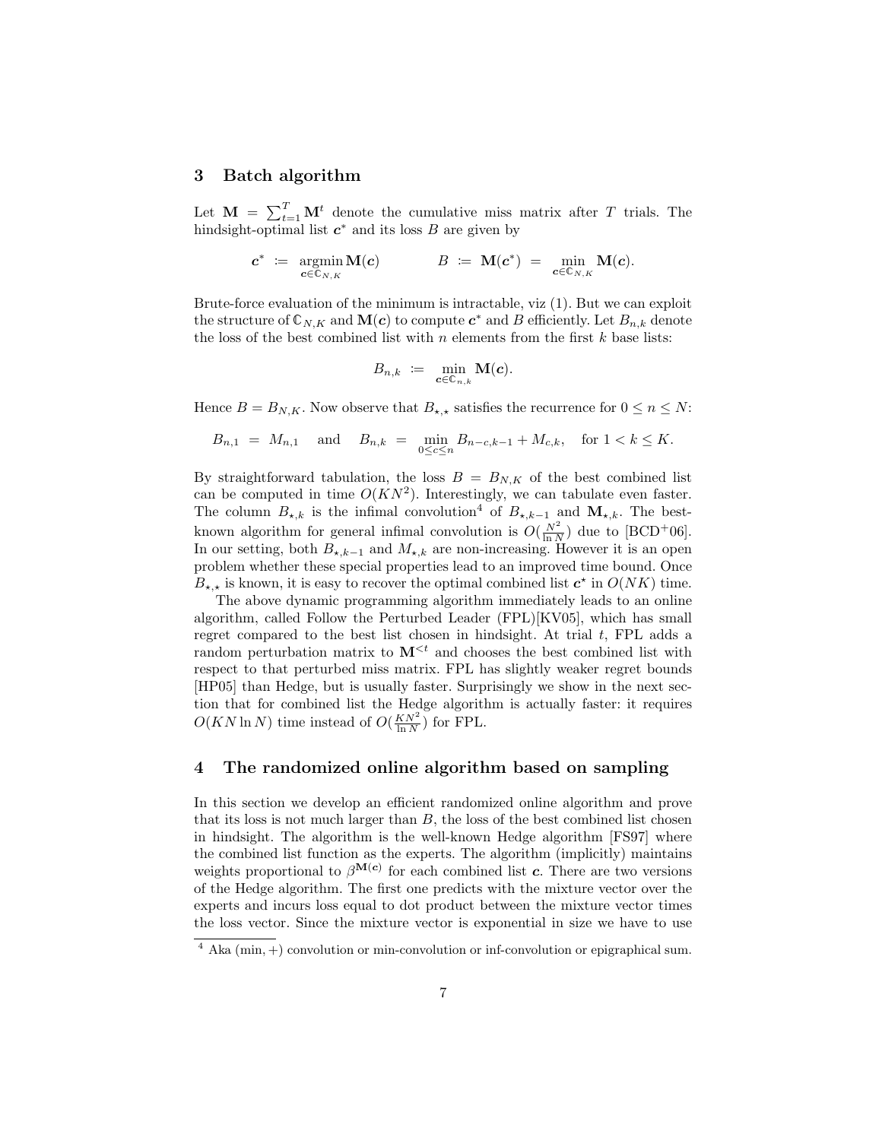#### 3 Batch algorithm

Let  $\mathbf{M} = \sum_{t=1}^{T} \mathbf{M}^t$  denote the cumulative miss matrix after T trials. The hindsight-optimal list  $c^*$  and its loss B are given by

$$
c^* \ := \ \underset{\boldsymbol{c} \in \mathbb{C}_{N,K}}{\operatorname{argmin}} \, \mathbf{M}(\boldsymbol{c}) \qquad \qquad B \ := \ \mathbf{M}(\boldsymbol{c}^*) \ = \ \underset{\boldsymbol{c} \in \mathbb{C}_{N,K}}{\min} \, \mathbf{M}(\boldsymbol{c}).
$$

Brute-force evaluation of the minimum is intractable, viz (1). But we can exploit the structure of  $\mathbb{C}_{N,K}$  and  $\mathbf{M}(\mathbf{c})$  to compute  $\mathbf{c}^*$  and  $B$  efficiently. Let  $B_{n,k}$  denote the loss of the best combined list with n elements from the first  $k$  base lists:

$$
B_{n,k} := \min_{\mathbf{c} \in \mathbb{C}_{n,k}} \mathbf{M}(\mathbf{c}).
$$

Hence  $B = B_{N,K}$ . Now observe that  $B_{\star,\star}$  satisfies the recurrence for  $0 \le n \le N$ :

$$
B_{n,1} = M_{n,1} \quad \text{and} \quad B_{n,k} = \min_{0 \le c \le n} B_{n-c,k-1} + M_{c,k}, \quad \text{for } 1 < k \le K.
$$

By straightforward tabulation, the loss  $B = B_{N,K}$  of the best combined list can be computed in time  $O(KN^2)$ . Interestingly, we can tabulate even faster. The column  $B_{\star,k}$  is the infimal convolution<sup>4</sup> of  $B_{\star,k-1}$  and  $\mathbf{M}_{\star,k}$ . The bestknown algorithm for general infimal convolution is  $O(\frac{N^2}{\ln N})$  due to [BCD<sup>+</sup>06]. In our setting, both  $B_{\star,k-1}$  and  $M_{\star,k}$  are non-increasing. However it is an open problem whether these special properties lead to an improved time bound. Once  $B_{\star,\star}$  is known, it is easy to recover the optimal combined list  $c^*$  in  $O(NK)$  time.

The above dynamic programming algorithm immediately leads to an online algorithm, called Follow the Perturbed Leader (FPL)[KV05], which has small regret compared to the best list chosen in hindsight. At trial  $t$ , FPL adds a random perturbation matrix to  $\mathbf{M}^{\leq t}$  and chooses the best combined list with respect to that perturbed miss matrix. FPL has slightly weaker regret bounds [HP05] than Hedge, but is usually faster. Surprisingly we show in the next section that for combined list the Hedge algorithm is actually faster: it requires  $O(KN \ln N)$  time instead of  $O(\frac{KN^2}{\ln N})$  for FPL.

## 4 The randomized online algorithm based on sampling

In this section we develop an efficient randomized online algorithm and prove that its loss is not much larger than  $B$ , the loss of the best combined list chosen in hindsight. The algorithm is the well-known Hedge algorithm [FS97] where the combined list function as the experts. The algorithm (implicitly) maintains weights proportional to  $\beta^{M(c)}$  for each combined list c. There are two versions of the Hedge algorithm. The first one predicts with the mixture vector over the experts and incurs loss equal to dot product between the mixture vector times the loss vector. Since the mixture vector is exponential in size we have to use

 $\frac{4}{4}$  Aka (min, +) convolution or min-convolution or inf-convolution or epigraphical sum.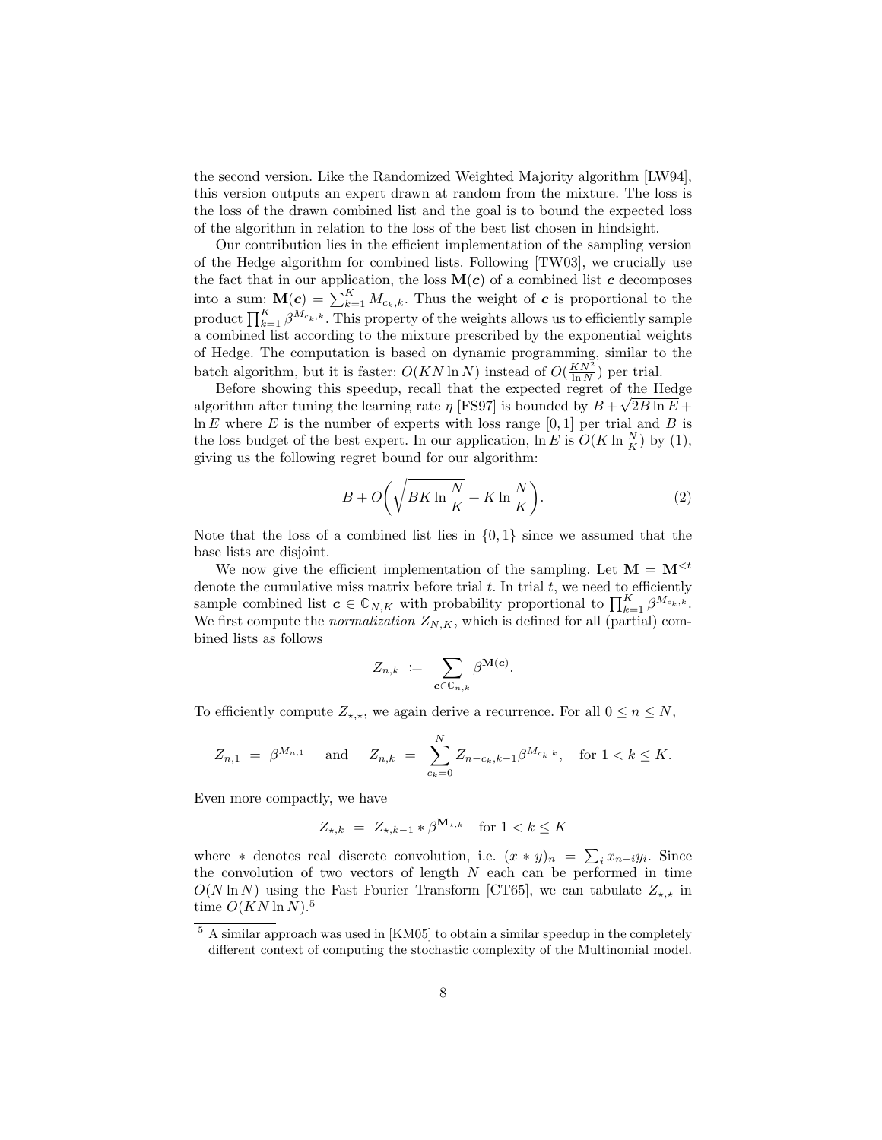the second version. Like the Randomized Weighted Majority algorithm [LW94], this version outputs an expert drawn at random from the mixture. The loss is the loss of the drawn combined list and the goal is to bound the expected loss of the algorithm in relation to the loss of the best list chosen in hindsight.

Our contribution lies in the efficient implementation of the sampling version of the Hedge algorithm for combined lists. Following [TW03], we crucially use the fact that in our application, the loss  $M(c)$  of a combined list c decomposes into a sum:  $\mathbf{M}(\boldsymbol{c}) = \sum_{k=1}^{K} M_{c_k,k}$ . Thus the weight of  $\boldsymbol{c}$  is proportional to the product  $\prod_{k=1}^K \beta^{M_{c_k,k}}$ . This property of the weights allows us to efficiently sample a combined list according to the mixture prescribed by the exponential weights of Hedge. The computation is based on dynamic programming, similar to the batch algorithm, but it is faster:  $O(KN \ln N)$  instead of  $O(\frac{KN^2}{\ln N})$  per trial.

Before showing this speedup, recall that the expected regret of the Hedge algorithm after tuning the learning rate  $\eta$  [FS97] is bounded by  $B + \sqrt{2B \ln E} +$  $\ln E$  where E is the number of experts with loss range [0, 1] per trial and B is the loss budget of the best expert. In our application,  $\ln E$  is  $O(K \ln \frac{N}{K})$  by (1), giving us the following regret bound for our algorithm:

$$
B + O\left(\sqrt{BK \ln \frac{N}{K}} + K \ln \frac{N}{K}\right).
$$
\n(2)

Note that the loss of a combined list lies in  $\{0, 1\}$  since we assumed that the base lists are disjoint.

We now give the efficient implementation of the sampling. Let  $\mathbf{M} = \mathbf{M}^{$ denote the cumulative miss matrix before trial  $t$ . In trial  $t$ , we need to efficiently sample combined list  $c \in \mathbb{C}_{N,K}$  with probability proportional to  $\prod_{k=1}^K \beta^{M_{c_k,k}}$ . We first compute the *normalization*  $Z_{N,K}$ , which is defined for all (partial) combined lists as follows

$$
Z_{n,k} \ := \ \sum_{{\boldsymbol{c}} \in {\mathbb{C}}_{n,k}} \beta^{{\bf M}({\boldsymbol{c}})}.
$$

To efficiently compute  $Z_{\star,\star}$ , we again derive a recurrence. For all  $0 \leq n \leq N$ ,

$$
Z_{n,1} = \beta^{M_{n,1}} \quad \text{and} \quad Z_{n,k} = \sum_{c_k=0}^{N} Z_{n-c_k,k-1} \beta^{M_{c_k,k}}, \quad \text{for } 1 < k \le K.
$$

Even more compactly, we have

$$
Z_{\star,k} = Z_{\star,k-1} * \beta^{\mathbf{M}_{\star,k}} \quad \text{for } 1 < k \le K
$$

where \* denotes real discrete convolution, i.e.  $(x * y)_n = \sum_i x_{n-i} y_i$ . Since the convolution of two vectors of length  $N$  each can be performed in time  $O(N \ln N)$  using the Fast Fourier Transform [CT65], we can tabulate  $Z_{\star,\star}$  in time  $O(KN \ln N)^5$ 

 $5$  A similar approach was used in [KM05] to obtain a similar speedup in the completely different context of computing the stochastic complexity of the Multinomial model.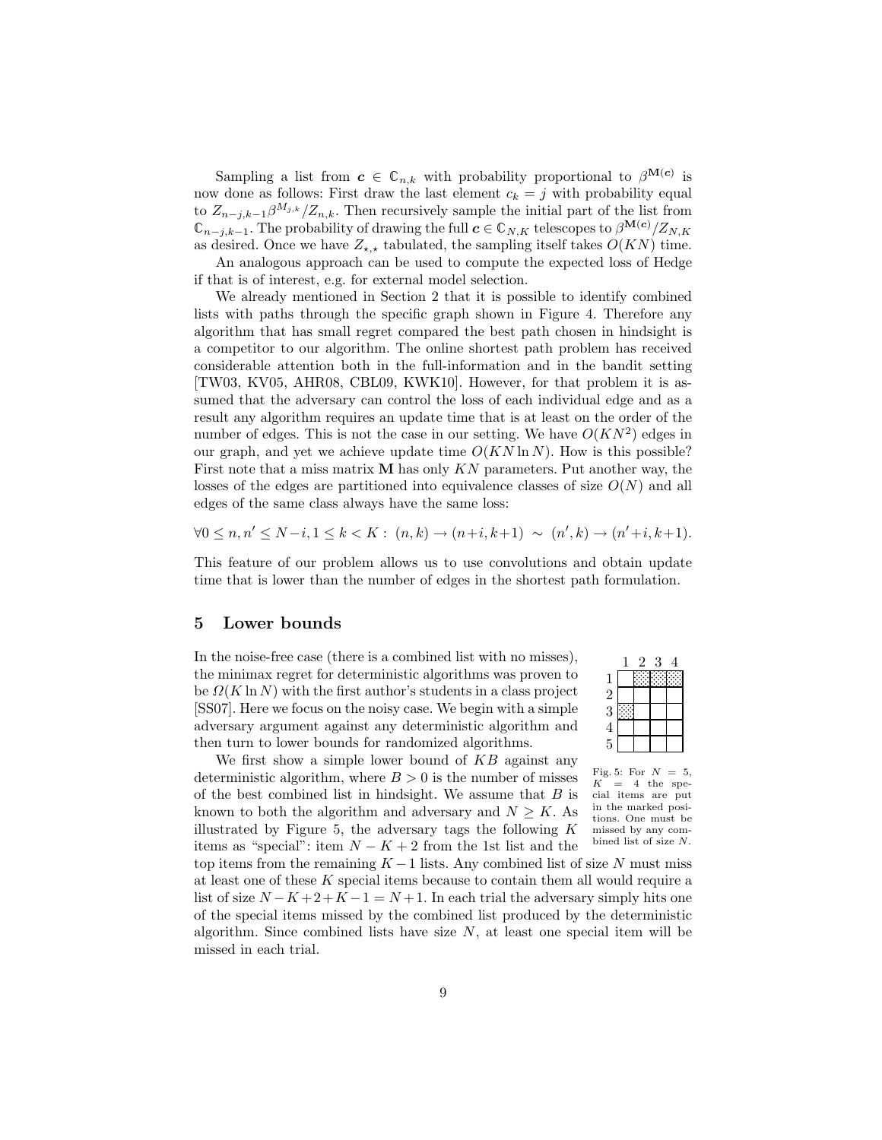Sampling a list from  $c \in \mathbb{C}_{n,k}$  with probability proportional to  $\beta^{\mathbf{M}(c)}$  is now done as follows: First draw the last element  $c_k = j$  with probability equal to  $Z_{n-j,k-1}\beta^{M_{j,k}}/Z_{n,k}$ . Then recursively sample the initial part of the list from  $\mathbb{C}_{n-j,k-1}$ . The probability of drawing the full  $c \in \mathbb{C}_{N,K}$  telescopes to  $\beta^{\mathbf{M}(c)} / Z_{N,K}$ as desired. Once we have  $Z_{\star,\star}$  tabulated, the sampling itself takes  $O(KN)$  time.

An analogous approach can be used to compute the expected loss of Hedge if that is of interest, e.g. for external model selection.

We already mentioned in Section 2 that it is possible to identify combined lists with paths through the specific graph shown in Figure 4. Therefore any algorithm that has small regret compared the best path chosen in hindsight is a competitor to our algorithm. The online shortest path problem has received considerable attention both in the full-information and in the bandit setting [TW03, KV05, AHR08, CBL09, KWK10]. However, for that problem it is assumed that the adversary can control the loss of each individual edge and as a result any algorithm requires an update time that is at least on the order of the number of edges. This is not the case in our setting. We have  $O(KN^2)$  edges in our graph, and yet we achieve update time  $O(KN \ln N)$ . How is this possible? First note that a miss matrix  $M$  has only  $KN$  parameters. Put another way, the losses of the edges are partitioned into equivalence classes of size  $O(N)$  and all edges of the same class always have the same loss:

 $\forall 0 \leq n, n' \leq N-i, 1 \leq k < K : (n, k) \rightarrow (n+i, k+1) \sim (n', k) \rightarrow (n'+i, k+1).$ 

This feature of our problem allows us to use convolutions and obtain update time that is lower than the number of edges in the shortest path formulation.

#### 5 Lower bounds

In the noise-free case (there is a combined list with no misses), the minimax regret for deterministic algorithms was proven to be  $\Omega(K \ln N)$  with the first author's students in a class project [SS07]. Here we focus on the noisy case. We begin with a simple adversary argument against any deterministic algorithm and then turn to lower bounds for randomized algorithms.

|               | $\mathbf{z}$ | 3 | 4 |
|---------------|--------------|---|---|
|               |              |   |   |
|               |              |   |   |
| $\frac{1}{2}$ |              |   |   |
| $\frac{4}{5}$ |              |   |   |
|               |              |   |   |

We first show a simple lower bound of  $KB$  against any deterministic algorithm, where  $B > 0$  is the number of misses of the best combined list in hindsight. We assume that  $B$  is known to both the algorithm and adversary and  $N \geq K$ . As illustrated by Figure 5, the adversary tags the following  $K$ items as "special": item  $N - K + 2$  from the 1st list and the

Fig. 5: For  $N = 5$ ,<br> $K = 4$  the spe- $= 4$  the special items are put in the marked positions. One must be missed by any combined list of size N.

top items from the remaining  $K - 1$  lists. Any combined list of size N must miss at least one of these K special items because to contain them all would require a list of size  $N - K + 2 + K - 1 = N + 1$ . In each trial the adversary simply hits one of the special items missed by the combined list produced by the deterministic algorithm. Since combined lists have size  $N$ , at least one special item will be missed in each trial.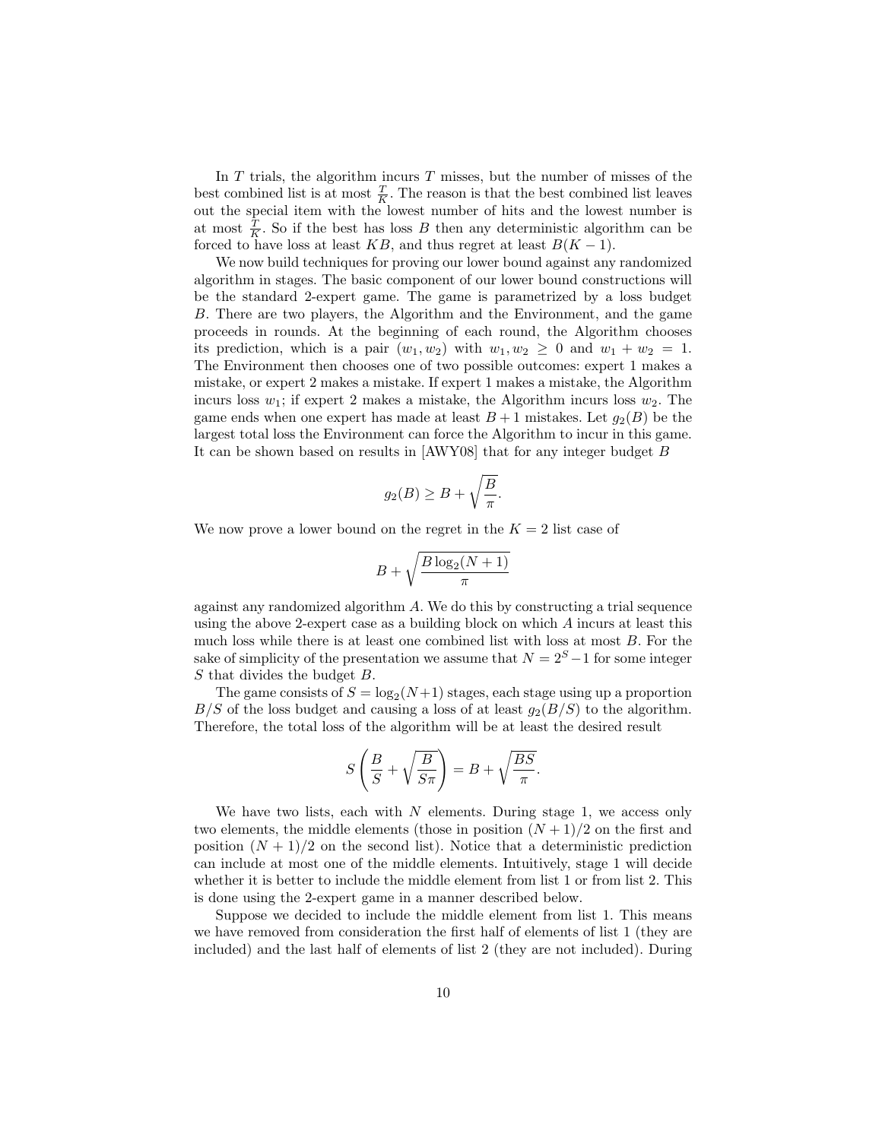In T trials, the algorithm incurs T misses, but the number of misses of the best combined list is at most  $\frac{T}{K}$ . The reason is that the best combined list leaves out the special item with the lowest number of hits and the lowest number is at most  $\frac{T}{K}$ . So if the best has loss B then any deterministic algorithm can be forced to have loss at least KB, and thus regret at least  $B(K-1)$ .

We now build techniques for proving our lower bound against any randomized algorithm in stages. The basic component of our lower bound constructions will be the standard 2-expert game. The game is parametrized by a loss budget B. There are two players, the Algorithm and the Environment, and the game proceeds in rounds. At the beginning of each round, the Algorithm chooses its prediction, which is a pair  $(w_1, w_2)$  with  $w_1, w_2 \geq 0$  and  $w_1 + w_2 = 1$ . The Environment then chooses one of two possible outcomes: expert 1 makes a mistake, or expert 2 makes a mistake. If expert 1 makes a mistake, the Algorithm incurs loss  $w_1$ ; if expert 2 makes a mistake, the Algorithm incurs loss  $w_2$ . The game ends when one expert has made at least  $B+1$  mistakes. Let  $g_2(B)$  be the largest total loss the Environment can force the Algorithm to incur in this game. It can be shown based on results in  $[AWY08]$  that for any integer budget  $B$ 

$$
g_2(B) \ge B + \sqrt{\frac{B}{\pi}}.
$$

We now prove a lower bound on the regret in the  $K = 2$  list case of

$$
B + \sqrt{\frac{B\log_2(N+1)}{\pi}}
$$

against any randomized algorithm A. We do this by constructing a trial sequence using the above 2-expert case as a building block on which  $A$  incurs at least this much loss while there is at least one combined list with loss at most  $B$ . For the sake of simplicity of the presentation we assume that  $N = 2<sup>S</sup> - 1$  for some integer S that divides the budget B.

The game consists of  $S = \log_2(N+1)$  stages, each stage using up a proportion  $B/S$  of the loss budget and causing a loss of at least  $g_2(B/S)$  to the algorithm. Therefore, the total loss of the algorithm will be at least the desired result

$$
S\left(\frac{B}{S}+\sqrt{\frac{B}{S\pi}}\right)=B+\sqrt{\frac{BS}{\pi}}.
$$

We have two lists, each with  $N$  elements. During stage 1, we access only two elements, the middle elements (those in position  $(N+1)/2$  on the first and position  $(N + 1)/2$  on the second list). Notice that a deterministic prediction can include at most one of the middle elements. Intuitively, stage 1 will decide whether it is better to include the middle element from list 1 or from list 2. This is done using the 2-expert game in a manner described below.

Suppose we decided to include the middle element from list 1. This means we have removed from consideration the first half of elements of list 1 (they are included) and the last half of elements of list 2 (they are not included). During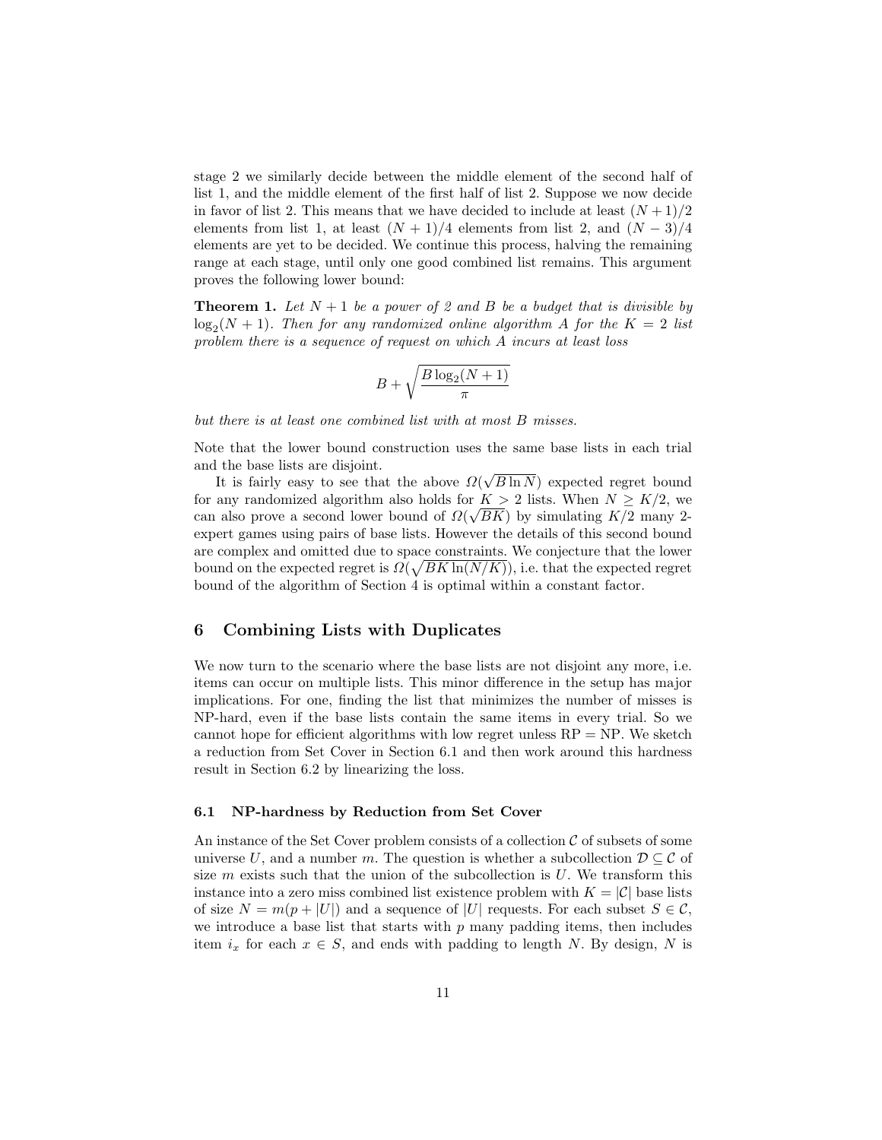stage 2 we similarly decide between the middle element of the second half of list 1, and the middle element of the first half of list 2. Suppose we now decide in favor of list 2. This means that we have decided to include at least  $(N+1)/2$ elements from list 1, at least  $(N + 1)/4$  elements from list 2, and  $(N - 3)/4$ elements are yet to be decided. We continue this process, halving the remaining range at each stage, until only one good combined list remains. This argument proves the following lower bound:

**Theorem 1.** Let  $N + 1$  be a power of 2 and B be a budget that is divisible by  $\log_2(N+1)$ . Then for any randomized online algorithm A for the  $K=2$  list problem there is a sequence of request on which A incurs at least loss

$$
B + \sqrt{\frac{B \log_2(N+1)}{\pi}}
$$

but there is at least one combined list with at most B misses.

Note that the lower bound construction uses the same base lists in each trial and the base lists are disjoint. √

It is fairly easy to see that the above  $\Omega$  $B \ln N$ ) expected regret bound for any randomized algorithm also holds for  $K > 2$  lists. When  $N \geq K/2$ , we can also prove a second lower bound of  $\Omega(\sqrt{BK})$  by simulating  $K/2$  many 2expert games using pairs of base lists. However the details of this second bound are complex and omitted due to space constraints. We conjecture that the lower bound on the expected regret is  $\Omega(\sqrt{BK \ln(N/K)})$ , i.e. that the expected regret bound of the algorithm of Section 4 is optimal within a constant factor.

#### 6 Combining Lists with Duplicates

We now turn to the scenario where the base lists are not disjoint any more, i.e. items can occur on multiple lists. This minor difference in the setup has major implications. For one, finding the list that minimizes the number of misses is NP-hard, even if the base lists contain the same items in every trial. So we cannot hope for efficient algorithms with low regret unless  $RP = NP$ . We sketch a reduction from Set Cover in Section 6.1 and then work around this hardness result in Section 6.2 by linearizing the loss.

#### 6.1 NP-hardness by Reduction from Set Cover

An instance of the Set Cover problem consists of a collection  $\mathcal C$  of subsets of some universe U, and a number m. The question is whether a subcollection  $\mathcal{D} \subset \mathcal{C}$  of size  $m$  exists such that the union of the subcollection is  $U$ . We transform this instance into a zero miss combined list existence problem with  $K = |\mathcal{C}|$  base lists of size  $N = m(p + |U|)$  and a sequence of |U| requests. For each subset  $S \in \mathcal{C}$ , we introduce a base list that starts with  $p$  many padding items, then includes item  $i_x$  for each  $x \in S$ , and ends with padding to length N. By design, N is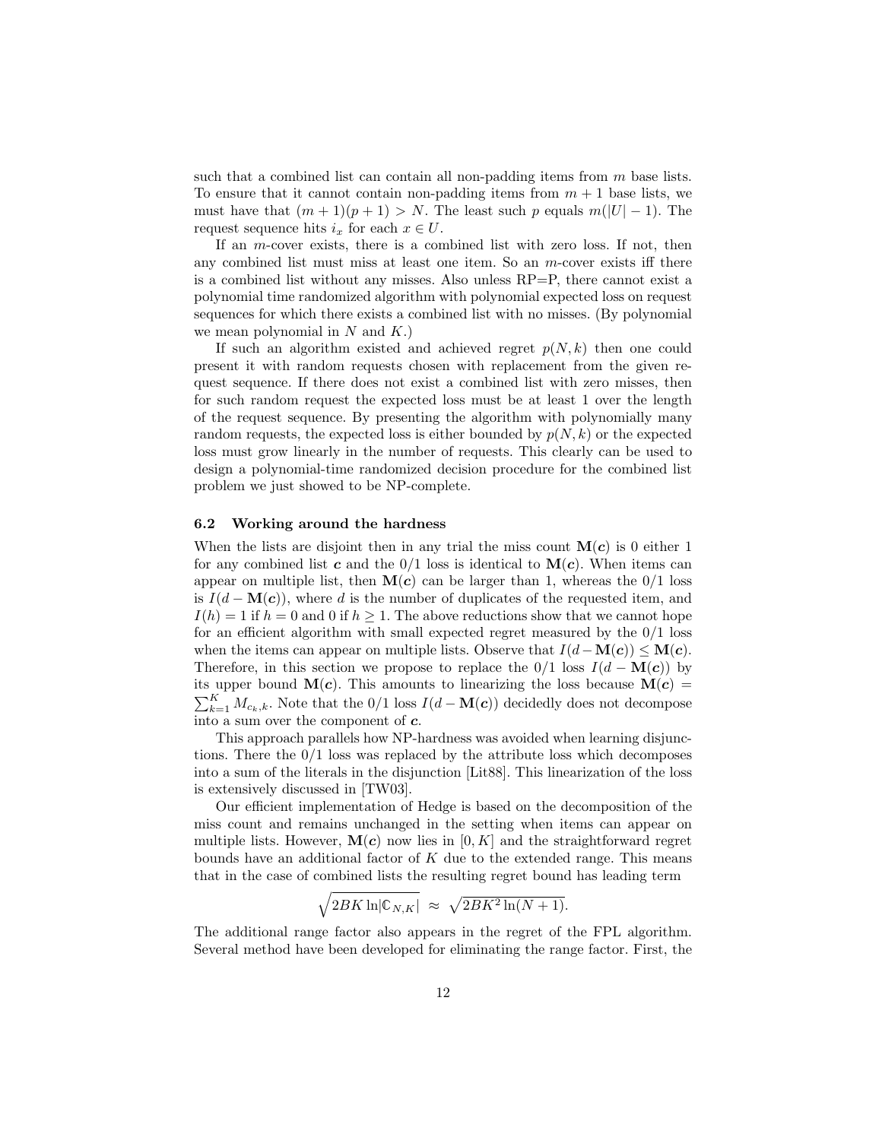such that a combined list can contain all non-padding items from  $m$  base lists. To ensure that it cannot contain non-padding items from  $m + 1$  base lists, we must have that  $(m+1)(p+1) > N$ . The least such p equals  $m(|U|-1)$ . The request sequence hits  $i_x$  for each  $x \in U$ .

If an  $m$ -cover exists, there is a combined list with zero loss. If not, then any combined list must miss at least one item. So an  $m$ -cover exists iff there is a combined list without any misses. Also unless RP=P, there cannot exist a polynomial time randomized algorithm with polynomial expected loss on request sequences for which there exists a combined list with no misses. (By polynomial we mean polynomial in  $N$  and  $K$ .)

If such an algorithm existed and achieved regret  $p(N, k)$  then one could present it with random requests chosen with replacement from the given request sequence. If there does not exist a combined list with zero misses, then for such random request the expected loss must be at least 1 over the length of the request sequence. By presenting the algorithm with polynomially many random requests, the expected loss is either bounded by  $p(N, k)$  or the expected loss must grow linearly in the number of requests. This clearly can be used to design a polynomial-time randomized decision procedure for the combined list problem we just showed to be NP-complete.

#### 6.2 Working around the hardness

When the lists are disjoint then in any trial the miss count  $\mathbf{M}(c)$  is 0 either 1 for any combined list c and the  $0/1$  loss is identical to  $\mathbf{M}(\mathbf{c})$ . When items can appear on multiple list, then  $\mathbf{M}(\mathbf{c})$  can be larger than 1, whereas the  $0/1$  loss is  $I(d - M(c))$ , where d is the number of duplicates of the requested item, and  $I(h) = 1$  if  $h = 0$  and 0 if  $h \ge 1$ . The above reductions show that we cannot hope for an efficient algorithm with small expected regret measured by the  $0/1$  loss when the items can appear on multiple lists. Observe that  $I(d-\mathbf{M}(c)) \leq \mathbf{M}(c)$ . Therefore, in this section we propose to replace the  $0/1$  loss  $I(d - M(c))$  by its upper bound  $M(c)$ . This amounts to linearizing the loss because  $M(c)$  =  $\sum_{k=1}^{K} M_{c_k,k}$ . Note that the  $0/1$  loss  $I(d - \mathbf{M}(c))$  decidedly does not decompose into a sum over the component of  $c$ .

This approach parallels how NP-hardness was avoided when learning disjunctions. There the  $0/1$  loss was replaced by the attribute loss which decomposes into a sum of the literals in the disjunction [Lit88]. This linearization of the loss is extensively discussed in [TW03].

Our efficient implementation of Hedge is based on the decomposition of the miss count and remains unchanged in the setting when items can appear on multiple lists. However,  $\mathbf{M}(\boldsymbol{c})$  now lies in [0, K] and the straightforward regret bounds have an additional factor of  $K$  due to the extended range. This means that in the case of combined lists the resulting regret bound has leading term

$$
\sqrt{2BK\ln \bigl|\mathbb{C}_{N,K}\bigr|}\;\approx\;\sqrt{2BK^2\ln (N+1)}.
$$

The additional range factor also appears in the regret of the FPL algorithm. Several method have been developed for eliminating the range factor. First, the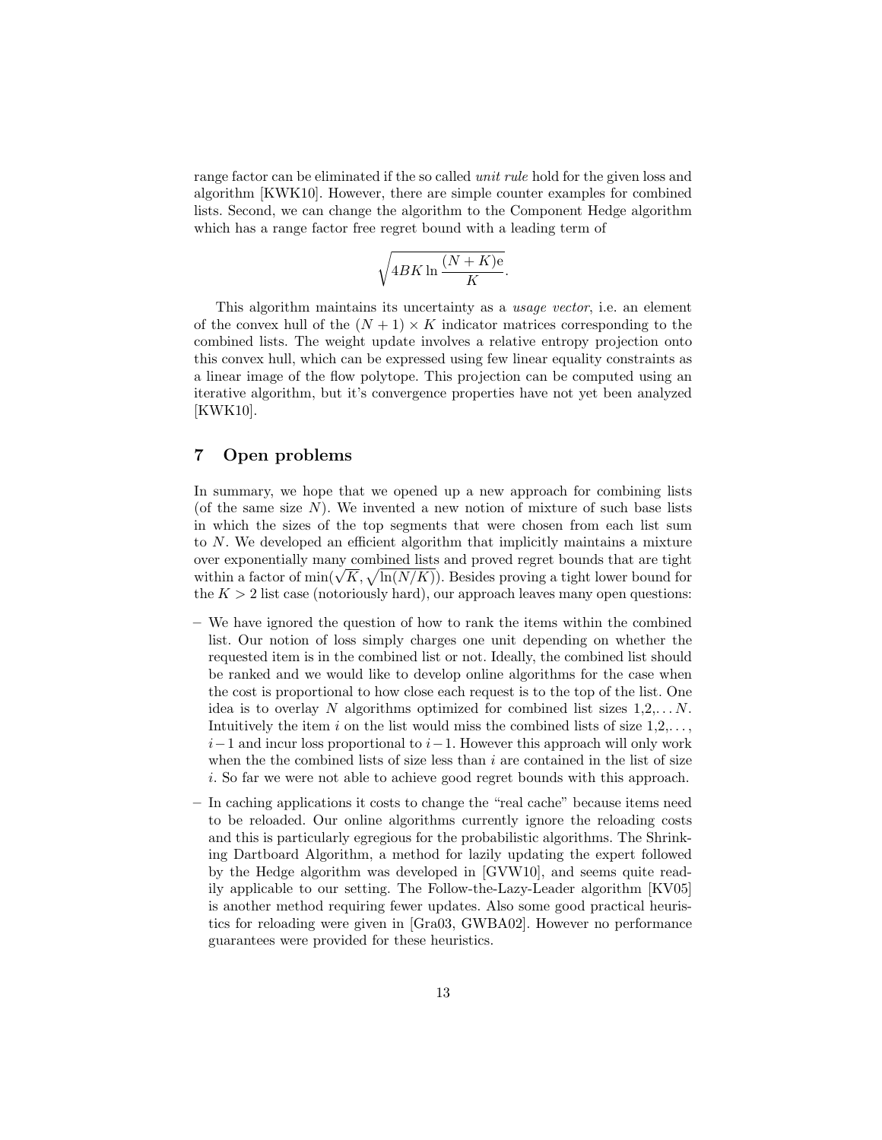range factor can be eliminated if the so called *unit rule* hold for the given loss and algorithm [KWK10]. However, there are simple counter examples for combined lists. Second, we can change the algorithm to the Component Hedge algorithm which has a range factor free regret bound with a leading term of

$$
\sqrt{4 B K \ln \frac{(N+K) e}{K}}.
$$

This algorithm maintains its uncertainty as a usage vector, i.e. an element of the convex hull of the  $(N + 1) \times K$  indicator matrices corresponding to the combined lists. The weight update involves a relative entropy projection onto this convex hull, which can be expressed using few linear equality constraints as a linear image of the flow polytope. This projection can be computed using an iterative algorithm, but it's convergence properties have not yet been analyzed [KWK10].

# 7 Open problems

In summary, we hope that we opened up a new approach for combining lists (of the same size  $N$ ). We invented a new notion of mixture of such base lists in which the sizes of the top segments that were chosen from each list sum to N. We developed an efficient algorithm that implicitly maintains a mixture over exponentially many combined lists and proved regret bounds that are tight over exponentially many combined lists and proved regret bounds that are tight within a factor of  $\min(\sqrt{K}, \sqrt{\ln(N/K)})$ . Besides proving a tight lower bound for the  $K > 2$  list case (notoriously hard), our approach leaves many open questions:

- We have ignored the question of how to rank the items within the combined list. Our notion of loss simply charges one unit depending on whether the requested item is in the combined list or not. Ideally, the combined list should be ranked and we would like to develop online algorithms for the case when the cost is proportional to how close each request is to the top of the list. One idea is to overlay N algorithms optimized for combined list sizes  $1,2,\ldots,N$ . Intuitively the item i on the list would miss the combined lists of size  $1, 2, \ldots$ ,  $i-1$  and incur loss proportional to  $i-1$ . However this approach will only work when the the combined lists of size less than  $i$  are contained in the list of size i. So far we were not able to achieve good regret bounds with this approach.
- In caching applications it costs to change the "real cache" because items need to be reloaded. Our online algorithms currently ignore the reloading costs and this is particularly egregious for the probabilistic algorithms. The Shrinking Dartboard Algorithm, a method for lazily updating the expert followed by the Hedge algorithm was developed in [GVW10], and seems quite readily applicable to our setting. The Follow-the-Lazy-Leader algorithm [KV05] is another method requiring fewer updates. Also some good practical heuristics for reloading were given in [Gra03, GWBA02]. However no performance guarantees were provided for these heuristics.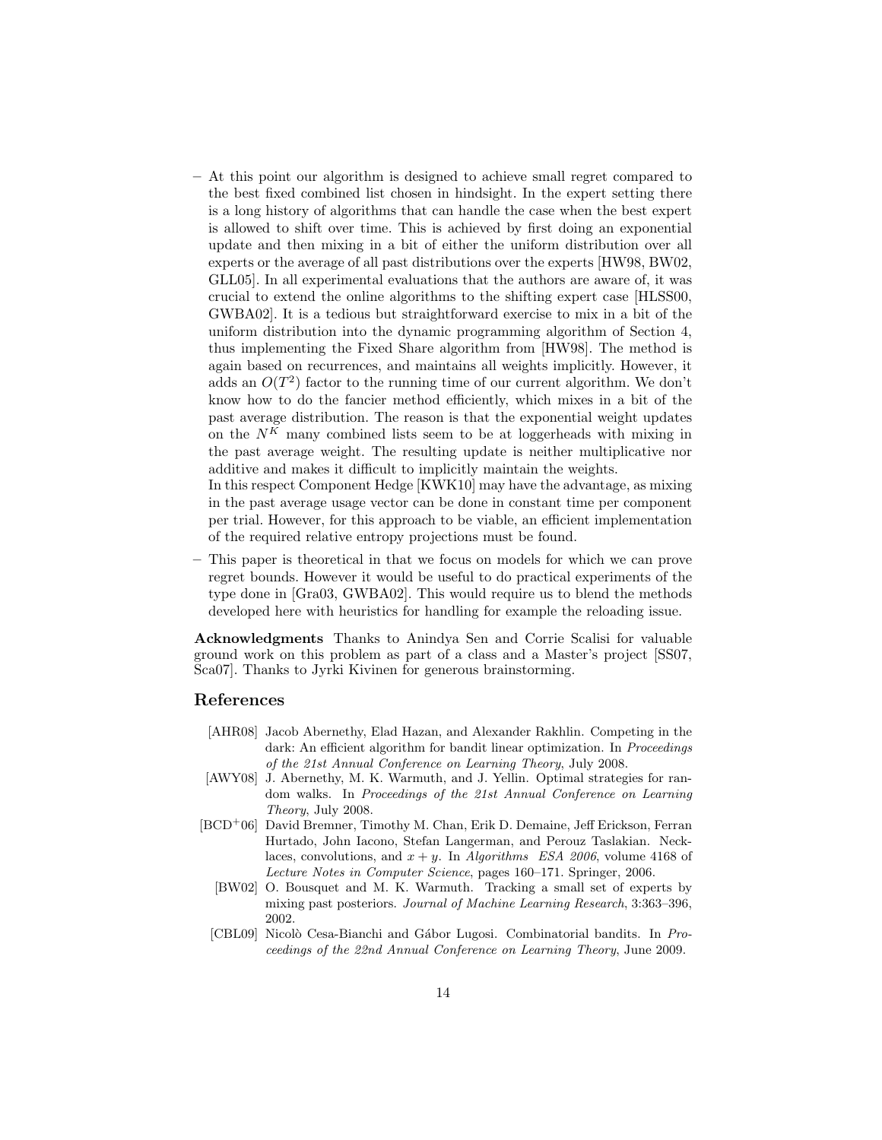– At this point our algorithm is designed to achieve small regret compared to the best fixed combined list chosen in hindsight. In the expert setting there is a long history of algorithms that can handle the case when the best expert is allowed to shift over time. This is achieved by first doing an exponential update and then mixing in a bit of either the uniform distribution over all experts or the average of all past distributions over the experts [HW98, BW02, GLL05]. In all experimental evaluations that the authors are aware of, it was crucial to extend the online algorithms to the shifting expert case [HLSS00, GWBA02]. It is a tedious but straightforward exercise to mix in a bit of the uniform distribution into the dynamic programming algorithm of Section 4, thus implementing the Fixed Share algorithm from [HW98]. The method is again based on recurrences, and maintains all weights implicitly. However, it adds an  $O(T^2)$  factor to the running time of our current algorithm. We don't know how to do the fancier method efficiently, which mixes in a bit of the past average distribution. The reason is that the exponential weight updates on the  $N<sup>K</sup>$  many combined lists seem to be at loggerheads with mixing in the past average weight. The resulting update is neither multiplicative nor additive and makes it difficult to implicitly maintain the weights.

In this respect Component Hedge [KWK10] may have the advantage, as mixing in the past average usage vector can be done in constant time per component per trial. However, for this approach to be viable, an efficient implementation of the required relative entropy projections must be found.

– This paper is theoretical in that we focus on models for which we can prove regret bounds. However it would be useful to do practical experiments of the type done in [Gra03, GWBA02]. This would require us to blend the methods developed here with heuristics for handling for example the reloading issue.

Acknowledgments Thanks to Anindya Sen and Corrie Scalisi for valuable ground work on this problem as part of a class and a Master's project [SS07, Sca07]. Thanks to Jyrki Kivinen for generous brainstorming.

#### References

- [AHR08] Jacob Abernethy, Elad Hazan, and Alexander Rakhlin. Competing in the dark: An efficient algorithm for bandit linear optimization. In *Proceedings* of the 21st Annual Conference on Learning Theory, July 2008.
- [AWY08] J. Abernethy, M. K. Warmuth, and J. Yellin. Optimal strategies for random walks. In Proceedings of the 21st Annual Conference on Learning Theory, July 2008.
- [BCD<sup>+</sup>06] David Bremner, Timothy M. Chan, Erik D. Demaine, Jeff Erickson, Ferran Hurtado, John Iacono, Stefan Langerman, and Perouz Taslakian. Necklaces, convolutions, and  $x + y$ . In Algorithms ESA 2006, volume 4168 of Lecture Notes in Computer Science, pages 160–171. Springer, 2006.
	- [BW02] O. Bousquet and M. K. Warmuth. Tracking a small set of experts by mixing past posteriors. Journal of Machine Learning Research, 3:363–396, 2002.
- [CBL09] Nicolò Cesa-Bianchi and Gábor Lugosi. Combinatorial bandits. In Proceedings of the 22nd Annual Conference on Learning Theory, June 2009.